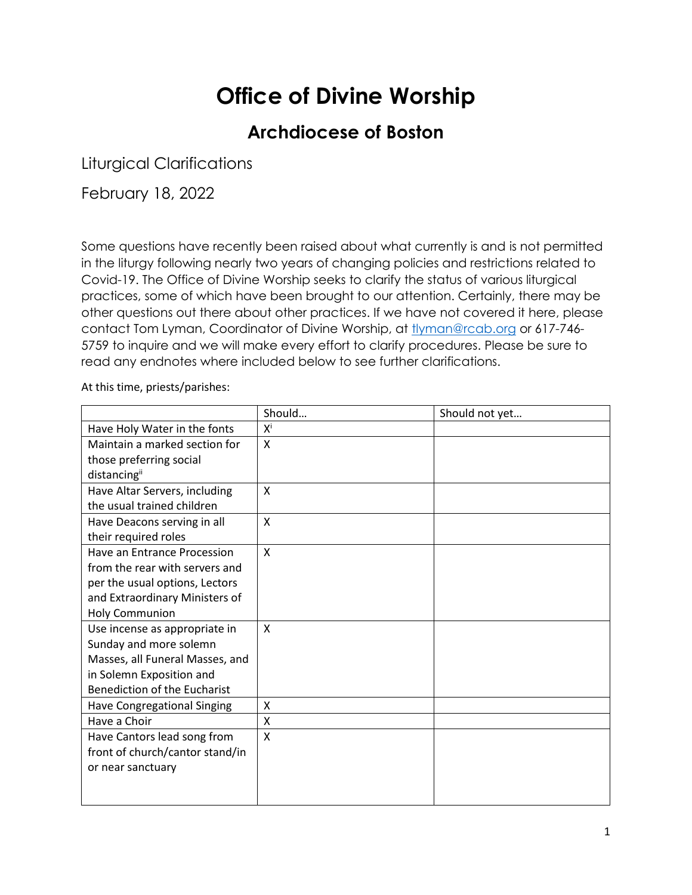## **Office of Divine Worship**

## **Archdiocese of Boston**

Liturgical Clarifications

February 18, 2022

Some questions have recently been raised about what currently is and is not permitted in the liturgy following nearly two years of changing policies and restrictions related to Covid-19. The Office of Divine Worship seeks to clarify the status of various liturgical practices, some of which have been brought to our attention. Certainly, there may be other questions out there about other practices. If we have not covered it here, please contact Tom Lyman, Coordinator of Divine Worship, at [tlyman@rcab.org](mailto:tlyman@rcab.org) or 617-746-5759 to inquire and we will make every effort to clarify procedures. Please be sure to read any endnotes where included below to see further clarifications.

At this time, priests/parishes:

|                                     | Should         | Should not yet |
|-------------------------------------|----------------|----------------|
| Have Holy Water in the fonts        | Χ <sup>i</sup> |                |
| Maintain a marked section for       | X              |                |
| those preferring social             |                |                |
| distancingii                        |                |                |
| Have Altar Servers, including       | X              |                |
| the usual trained children          |                |                |
| Have Deacons serving in all         | X              |                |
| their required roles                |                |                |
| Have an Entrance Procession         | X              |                |
| from the rear with servers and      |                |                |
| per the usual options, Lectors      |                |                |
| and Extraordinary Ministers of      |                |                |
| <b>Holy Communion</b>               |                |                |
| Use incense as appropriate in       | X              |                |
| Sunday and more solemn              |                |                |
| Masses, all Funeral Masses, and     |                |                |
| in Solemn Exposition and            |                |                |
| <b>Benediction of the Eucharist</b> |                |                |
| Have Congregational Singing         | Χ              |                |
| Have a Choir                        | X              |                |
| Have Cantors lead song from         | X              |                |
| front of church/cantor stand/in     |                |                |
| or near sanctuary                   |                |                |
|                                     |                |                |
|                                     |                |                |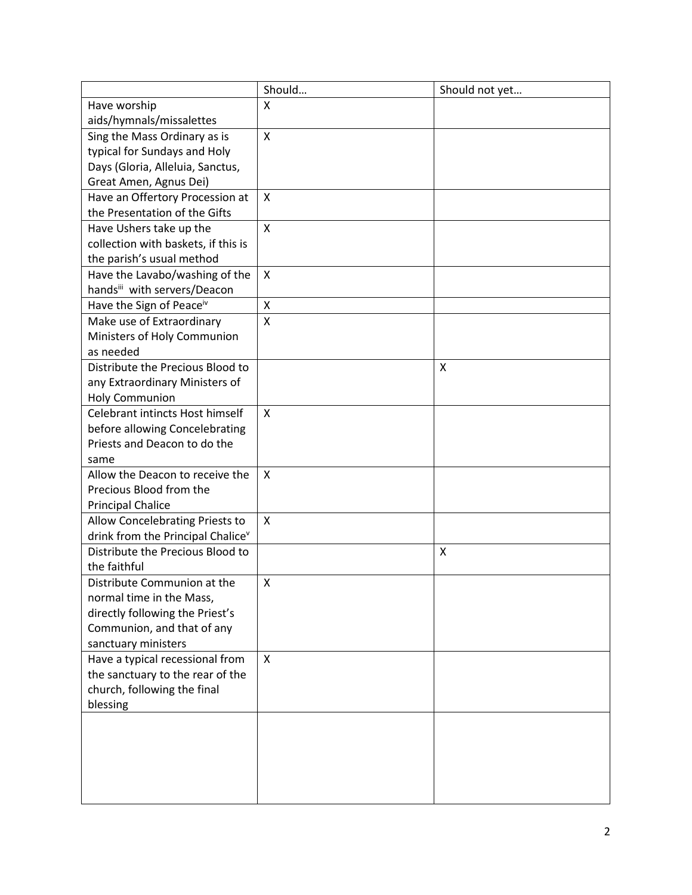|                                                                     | Should                    | Should not yet |
|---------------------------------------------------------------------|---------------------------|----------------|
| Have worship                                                        | X                         |                |
| aids/hymnals/missalettes                                            |                           |                |
| Sing the Mass Ordinary as is                                        | $\mathsf{x}$              |                |
| typical for Sundays and Holy                                        |                           |                |
| Days (Gloria, Alleluia, Sanctus,                                    |                           |                |
| Great Amen, Agnus Dei)                                              |                           |                |
| Have an Offertory Procession at                                     | X                         |                |
| the Presentation of the Gifts                                       |                           |                |
| Have Ushers take up the                                             | X                         |                |
| collection with baskets, if this is                                 |                           |                |
| the parish's usual method                                           |                           |                |
| Have the Lavabo/washing of the                                      | $\boldsymbol{\mathsf{X}}$ |                |
| handsill with servers/Deacon                                        |                           |                |
| Have the Sign of Peace <sup>iv</sup>                                | $\pmb{\mathsf{X}}$        |                |
| Make use of Extraordinary                                           | X                         |                |
| Ministers of Holy Communion                                         |                           |                |
| as needed                                                           |                           |                |
| Distribute the Precious Blood to                                    |                           | x              |
| any Extraordinary Ministers of                                      |                           |                |
| <b>Holy Communion</b>                                               |                           |                |
| Celebrant intincts Host himself                                     | $\boldsymbol{\mathsf{X}}$ |                |
| before allowing Concelebrating                                      |                           |                |
| Priests and Deacon to do the                                        |                           |                |
| same                                                                |                           |                |
| Allow the Deacon to receive the                                     | X                         |                |
| Precious Blood from the                                             |                           |                |
| <b>Principal Chalice</b>                                            |                           |                |
| Allow Concelebrating Priests to                                     | $\mathsf{x}$              |                |
| drink from the Principal Chalice <sup>v</sup>                       |                           |                |
| Distribute the Precious Blood to                                    |                           | X              |
| the faithful                                                        |                           |                |
| Distribute Communion at the                                         | X                         |                |
| normal time in the Mass,                                            |                           |                |
| directly following the Priest's                                     |                           |                |
| Communion, and that of any                                          |                           |                |
| sanctuary ministers                                                 | $\boldsymbol{\mathsf{X}}$ |                |
| Have a typical recessional from<br>the sanctuary to the rear of the |                           |                |
| church, following the final                                         |                           |                |
| blessing                                                            |                           |                |
|                                                                     |                           |                |
|                                                                     |                           |                |
|                                                                     |                           |                |
|                                                                     |                           |                |
|                                                                     |                           |                |
|                                                                     |                           |                |